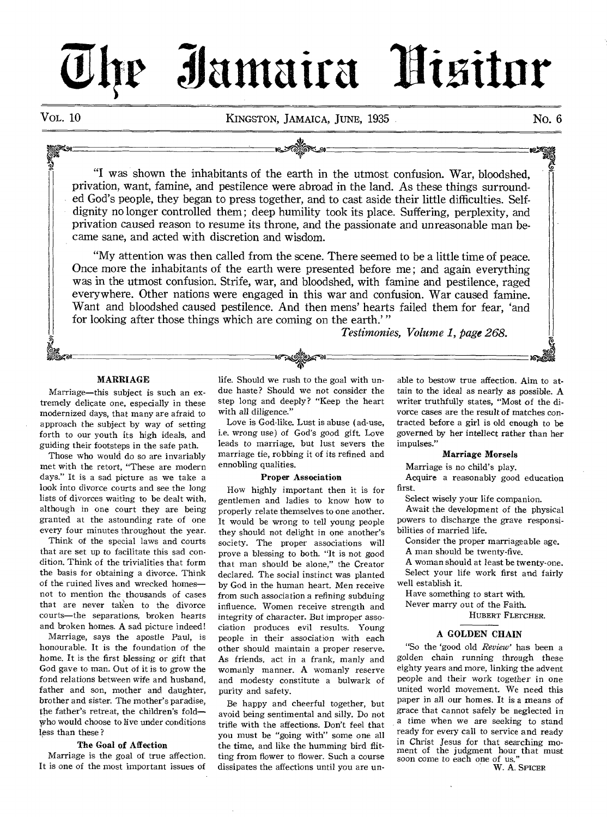# **lr Zlitunatra 6 mitor**

Vol. 10 **KINGSTON, JAMAICA, JUNE, 1935** No. 6

"I was shown the inhabitants of the earth in the utmost confusion. War, bloodshed, privation, want, famine, and pestilence were abroad in the land. As these things surrounded God's people, they began to press together, and to cast aside their little difficulties. Selfdignity no longer controlled them ; deep humility took its place. Suffering, perplexity, and privation caused reason to resume its throne, and the passionate and unreasonable man became sane, and acted with discretion and wisdom.

"My attention was then called from the scene. There seemed to be a little time of peace. Once more the inhabitants of the earth were presented before me ; and again everything was in the utmost confusion. Strife, war, and bloodshed, with famine and pestilence, raged everywhere. Other nations were engaged in this war and confusion. War caused famine. Want and bloodshed caused pestilence. And then mens' hearts failed them for fear, 'and for looking after those things which are coming on the earth.'"

*Testimonies, Volume 1, page 268.* 

## **MARRIAGE**

B.

Marriage—this subject is such an extremely delicate one, especially in these modernized days, that many are afraid to approach the subject by way of setting forth to our youth its high ideals, and guiding their footsteps in the safe path.

Those who would do so are invariably met with the retort, "These are modern days." It is a sad picture as we take a look into divorce courts and see the long lists of divorces waiting to be dealt with, although in one court they are being granted at the astounding rate of one every four minutes throughout the year.

Think of the special laws and courts that are set up to facilitate this sad condition. Think of the trivialities that form the basis for obtaining a divorce. Think of the ruined lives and wrecked homes not to mention the thousands of cases that are never taken to the divorce courts—the separations, broken hearts and broken homes. A sad picture indeed!

Marriage, says the apostle Paul, is honourable. It is the foundation of the home. It is the first blessing or gift that God gave to man. Out of it is to grow the fond relations between wife and husband, father and son, mother and daughter, brother and sister. The mother's paradise, the father's retreat, the children's fold— Who would choose to live under conditions less than these ?

## **The Goal of Affection**

Marriage is the goal of true affection. It is one of the most important issues of life. Should we rush to the goal with undue haste? Should we not consider the step long and deeply? "Keep the heart with all diligence."

Love is God-like. Lust is abuse (ad-use, i.e. wrong use) of God's good gift. Love leads to marriage, but lust severs the marriage tie, robbing it of its refined and ennobling qualities.

## **Proper Association**

How highly important then it is for gentlemen and ladies to know how to properly relate themselves to one another. It would be wrong to tell young people they should not delight in one another's society. The proper associations will prove a blessing to both. "It is not good that man should be alone," the Creator declared. The social instinct was planted by God in the human heart. Men receive from such association a refining subduing influence. Women receive strength and integrity of character. But improper association produces evil results. Young people in their association with each other should maintain a proper reserve. As friends, act in a frank, manly and womanly manner. A womanly reserve and modesty constitute a bulwark of purity and safety.

Be happy and cheerful together, but avoid being sentimental and silly. Do not trifle with the affections. Don't feel that you must be "going with" some one all the time, and like the humming bird flitting from flower to flower. Such a course dissipates the affections until you are un-

able to bestow true affection. Aim to attain to the ideal as nearly as possible. A writer truthfully states, "Most of the divorce *cases* are the result of matches contracted before a girl is old enough to be governed by her intellect rather than her impulses."

## **Marriage Morsels**

Marriage is no child's play.

Acquire a reasonably good education first.

Select wisely your life companion.

Await the development of the physical powers to discharge the grave responsibilities of married life.

Consider the proper marriageable age. A man should be twenty-five.

A woman should at least be twenty-one. Select your life work first and fairly well establish it.

Have something to start with. Never marry out of the Faith.

HUBERT FLETCHER.

## **A GOLDEN CHAIN**

"So the 'good old *Review'* has been a golden chain running through these eighty years and more, linking the advent people and their work together in one united world movement. We need this paper in all our homes. It is a means of grace that cannot safely be neglected in a time when we are seeking to stand ready for every call to service and ready in Christ Jesus for that searching **moment** of the judgment hour that must soon come to each one of us."

W. A. SPICER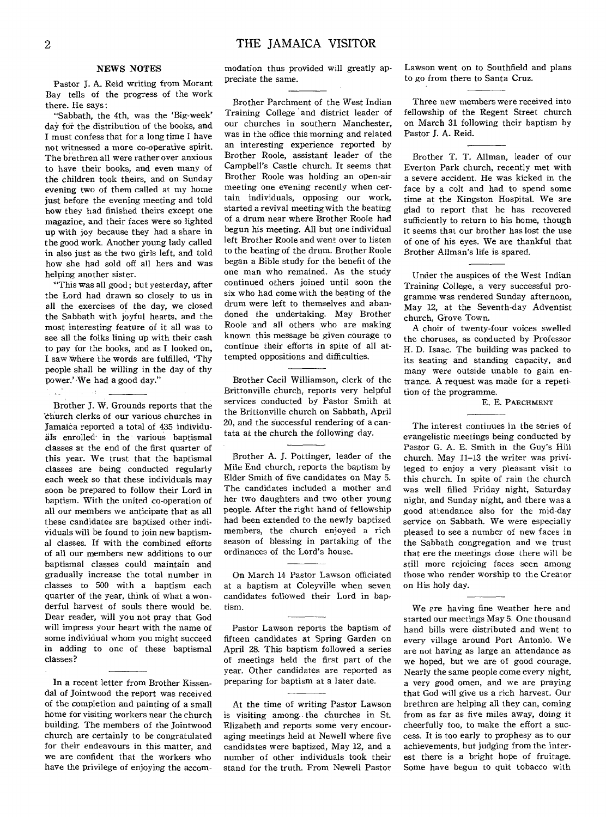## NEWS NOTES

Pastor J. A. Reid writing from Morant Bay tells of the progress of the work there. He says:

"Sabbath, the 4th, was the 'Big-week' day for the distribution of the books, and I must confess that for a long time I have not witnessed a more co-operative spirit. The brethren all were rather over anxious to have their books, and even many of the children took theirs, and on Sunday evening two of them called at my home just before the evening meeting and told how they had finished theirs except one magazine, and their faces were so lighted up with joy because they had a share in the good work. Another young lady called in also just as the two girls left, and told how she had sold off all hers and was helping another sister.

"This was all good; but yesterday, after the Lord had drawn so closely to us in all the exercises of the day, we closed the Sabbath with joyful hearts, and the most interesting feature of it all was to see all the folks lining up with their cash to pay for the books, and as I looked on, I saw \*here the words are fulfilled, 'Thy people shall be willing in the day of thy power.' We had a good day."

Brother J. W. Grounds reports that the 'church clerks of our various churches in Jamaica reported a total of 435 individuals enrolled-in the various baptismal classes at the end of the first quarter of this year. We trust that the baptismal classes are being conducted regularly each week so that these individuals may soon be prepared to follow their Lord in baptism. With the united co-operation of all our members we anticipate that as all these candidates are baptized other individuals will be found to join new baptismal classes. If with the combined efforts of all our members new additions to our baptismal classes could maintain and gradually increase the total number in classes to 500 with a baptism each quarter of the year, think of what a wonderful harvest of souls there would be. Dear reader, will you not pray that God will impress your heart with the name of some individual whom you might succeed in adding to one of these baptismal classes?

In a recent letter from Brother Kissendal of Jointwood the report was received of the completion and painting of a small home for visiting workers near the church building. The members of the Jointwood church are certainly to be congratulated for their endeavours in this matter, and we are confident that the workers who have the privilege of enjoying the accommodation thus provided will greatly appreciate the same.

Brother Parchment of the West Indian Training College and district leader of our churches in southern Manchester, was in the office this morning and related an interesting experience reported by Brother Roole, assistant leader of the Campbell's Castle church. It seems that Brother Roole was holding an open-air meeting one evening recently when certain individuals, opposing our work, started a revival meeting with the beating of a drum near where Brother Roole had begun his meeting. All but one individual left Brother Roole and went over to listen to the beating of the drum. Brother Roole began a Bible study for the benefit of the one man who remained. As the study continued others joined until soon the six who had come with the beating of the drum were left to themselves and abandoned the undertaking. May Brother Roole and all others who are making known this message be given courage to continue their efforts in spite of all attempted oppositions and difficulties.

Brother Cecil Williamson, clerk of the Brittonville church, reports very helpful services conducted by Pastor Smith at the Brittonville church on Sabbath, April 20, and the successful rendering of a cantata at the church the following day.

Brother A. J. Pottinger, leader of the Mile End church, reports the baptism by Elder Smith of five candidates on May 5. The candidates included a mother and her two daughters and two other young people. After the right hand of fellowship had been extended to the newly baptized members, the church enjoyed a rich season of blessing in partaking of the ordinances of the Lord's house.

On March 14 Pastor Lawson officiated at a baptism at Coleyville when seven candidates followed their Lord in baptism.

Pastor Lawson reports the baptism of fifteen candidates at Spring Garden on April 28. This baptism followed a series of meetings held the first part of the year. Other candidates are reported as preparing for baptism at a later date.

At the time of writing Pastor Lawson is visiting among- the churches in St. Elizabeth and reports some very encouraging meetings held at Newell where five candidates were baptized, May 12, and a number of other individuals took their stand for the truth. From Newell Pastor Lawson went on to Southfield and plans to go from there to Santa Cruz.

Three new members were received into fellowship of the Regent Street church on March 31 following their baptism by Pastor J. A. Reid.

Brother T. T. Allman, leader of our Everton Park church, recently met with a severe accident. He was kicked in the face by a colt and had to spend some time at the Kingston Hospital. We are glad to report that he has recovered sufficiently to return to his home, though it seems that our brother has lost the use of one of his eyes. We are thankful that Brother Allman's life is spared.

Under the auspices of the West Indian Training College, a very successful programme was rendered Sunday afternoon, May 12, at the Seventh-day Adventist church, Grove Town.

A choir of twenty-four voices swelled the choruses, as conducted by Professor H. D. Isaac. The building was packed to its seating and standing capacity, and many were outside unable to gain entrance. A request was made for a repetition of the programme.

## E. E. PARCHMENT

The interest continues in the series of evangelistic meetings being conducted by Pastor G. A. E. Smith in the Guy's Hill church. May 11-13 the writer was privileged to enjoy a very pleasant visit to this church. In spite of rain the church was well filled Friday night, Saturday night, and Sunday night, and there was a good attendance also for the mid-day service on Sabbath. We were especially pleased to see a number of new faces in the Sabbath congregation and we trust that ere the meetings close there will be still more rejoicing faces seen among those who render worship to the Creator on His holy day.

We ere having fine weather here and started our meetings May 5. One thousand hand bills were distributed and went to every village around Port Antonio. We are not having as large an attendance as we hoped, but we are of good courage. Nearly the same people come every night, a very good omen, and we are praying that God will give us a rich harvest. Our brethren are helping all they can, coming from as far as five miles away, doing it cheerfully too, to make the effort a success. It is too early to prophesy as to our achievements, but judging from the interest there is a bright hope of fruitage. Some have begun to quit tobacco with

 $\ddot{\phantom{a}}$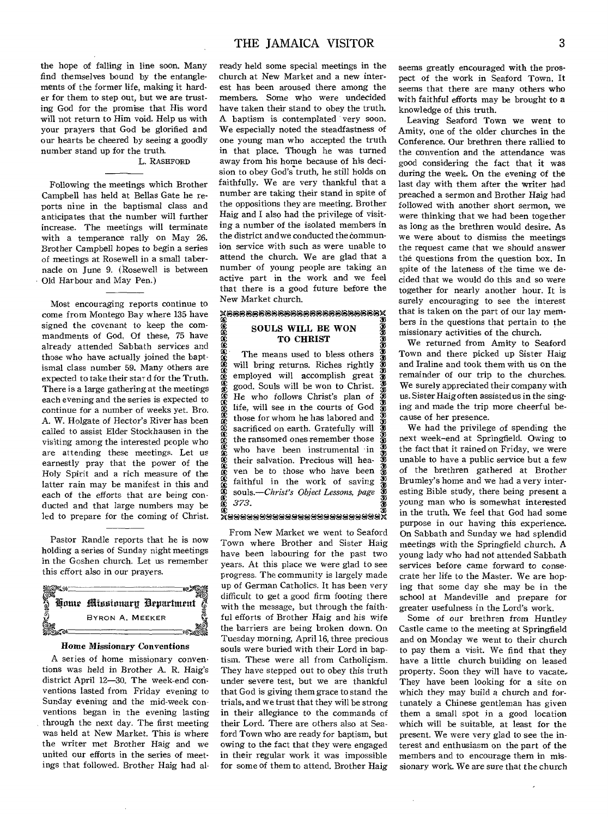the hope of falling in line soon. Many find themselves bound by the entanglements of the former life, making it harder for them to step out, but we are trusting God for the promise that His word will not return to Him void. Help us with your prayers that God be glorified and our hearts be cheered by seeing a goodly number stand up for the truth.

# L. RASHFORD

Following the meetings which Brother Campbell has held at Bellas Gate he reports nine in the baptismal class and anticipates that the number will further increase. The meetings will terminate with a temperance rally on May 26. Brother Campbell hopes to begin a series of meetings at Rosewell in a small tabernacle on June 9. (Rosewell is between Old Harbour and May Pen.)

Most encouraging reports continue to come from Montego Bay where 135 have signed the covenant to keep the commandments of God. Of these, 75 have already attended Sabbath services and those who have actually joined the baptismal class number 59. Many others are expected to take their star d for the Truth. There is a large gathering at the meetings each evening and the series is expected to continue for a number of weeks yet. Bro. A. W. Holgate of Hector's River has been called to assist Elder Stockhausen in the visiting among the interested people who are attending these meetings. Let us earnestly pray that the power of the Holy Spirit and a rich measure of the latter rain may be manifest in this and each of the efforts that are being conducted and that large numbers may be led to prepare for the coming of Christ.

Pastor Randle reports that he is now holding a series of Sunday night meetings in the Goshen church. Let us remember this effort also in our prayers.



## *Home* Missionary Conventions

A series of home missionary conventions was held in Brother A. R. Haig's district April 12-30. The week-end conventions lasted from Friday evening to Sunday evening and the mid-week conventions began in the evening lasting through the next day. The first meeting was held at New Market. This is where the writer met Brother Haig and we united our efforts in the series of meetings that followed. Brother Haig had al-

ready held some special meetings in the church at New Market and a new interest has been aroused there among the members. Some who were undecided have taken their stand to obey the truth. A baptism is contemplated very soon. We especially noted the steadfastness of one young man who accepted the truth in that place. Though he was turned away from his home because of his decision to obey God's truth, he still holds on faithfully. We are very thankful that a number are taking their stand in spite of the oppositions they are meeting. Brother Haig and I also had the privilege of visiting a number of the isolated members in the district and we conducted the communion service with such as were unable to attend the church. We are glad that a number of young people are taking an active part in the work and we feel that there is a good future before the New Market church.

# X68666666666666666666666<br>E SOULS WILL BE WON<br>C TO CHRIST SOULS WILL BE WON TO CHRIST

æ.

rā. ra i نیپ e. tc 373.<br>C. *373.*<br>C. *373.*<br>Sonald State <mark>B</mark>. v. cc. co. s. 33 <u>ين</u> وي  $\mathfrak{D}^-$ SJ ري 33 33 33 33 33 <u>ين</u> 33  $\overline{\mathbf{2}}$ s. 33 33 33 The means used to bless others will bring returns. Riches rightly employed will accomplish great good. Souls will be won to Christ. He who follows Christ's plan of life, will see in the courts of God those for whom he has labored and sacrificed on earth. Gratefully will the ransomed ones remember those who have been instrumental in their salvation. Precious will heaven be to those who have been faithful in the work of saving *souls.—Christ's Object Lessons, Page 373.* 

From New Market we went to Seaford Town where Brother and Sister Haig have been labouring for the past two years. At this place we were glad to see progress. The community is largely made up of German Catholics. It has been very difficult to get a good firm footing there with the message, but through the faithful efforts of Brother Haig and his wife the barriers are being broken down. On Tuesday morning, April 16, three precious souls were buried with their Lord in baptism. These were all from Catholicism. They have stepped out to obey this truth under severe test, but we are thankful that God is giving them grace to stand the trials, and we trust that they will be strong in their allegiance to the commands of their Lord. There are others also at Seaford Town who are ready for baptism, but owing to the fact that they were engaged in their regular work it was impossible for some of them to attend. Brother Haig seems greatly encouraged with the prospect of the work in Seaford Town. It seems that there are many others who with faithful efforts may be brought to a knowledge of this truth.

Leaving Seaford Town we went to Amity, one of the older churches in the Conference. Our brethren there rallied to the convention and the attendance was good considering the fact that it was during the week. On the evening of the last day with them after the writer had preached a sermon and Brother Haig had followed with another short sermon, we were thinking that we had been together as long as the brethren would desire. As we were about to dismiss the meetings the request came that we should answer the questions from the question box. In spite of the lateness of the time we decided that we would do this and so were together for nearly another hour. It is surely encouraging to see the interest that is taken on the part of our lay members in the questions that pertain to the missionary activities of the church.

We returned from Amity to Seaford Town and there picked up Sister Haig and Iraline and took them with us on the remainder of our trip to the churches. We surely appreciated their company with us. Sister Haig often assisted us in the singing and made the trip more cheerful because of her presence.

We had the privilege of spending the next week—end at Springfield. Owing to the fact that it rained on Friday, we were unable to have a public service but a few of the brethren gathered at Brother Brumley's home and we had a very interesting Bible study, there being present a young man who is somewhat interested in the truth. We feel that God had some purpose in our having this experience. On Sabbath and Sunday we had splendid meetings with the Springfield church. A young lady who had not attended Sabbath services before came forward to consecrate her life to the Master. We are hoping that some day she may be in the school at Mandeville and prepare for greater usefulness in the Lord's work.

Some of *our* brethren from Huntley Castle came to the meeting at Springfield and on Monday we went to their church to pay them a visit. We find that they have a little church building on leased property. Soon they will have to vacate-They have been looking for a site on which they may build a church and fortunately a Chinese gentleman has given them a small spot in a good location which will be suitable, at least for the present. We were very glad to see the interest and enthusiasm on the part of the members and to encourage them in missionary work. We are sure that the church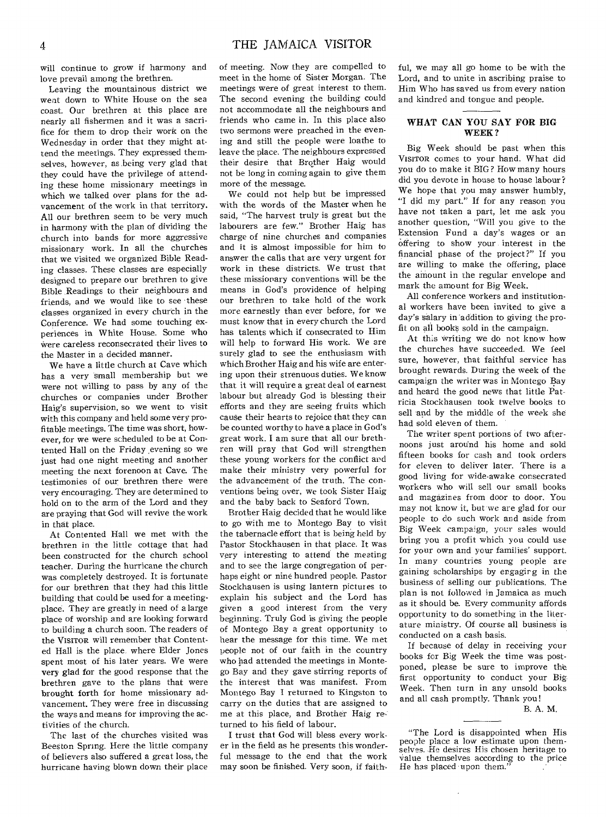will continue to grow if harmony and love prevail among the brethren.

Leaving the mountainous district we went down to White House on the sea coast. Our brethren at this place are nearly all fishermen and it was a sacrifice for them to drop their work on the Wednesday in order that they might attend the meetings. They expressed themselves, however, as being very glad that they could have the privilege of attending these home missionary meetings in which we talked over plans for the advancement of the work in that territory. All our brethren seem to be very much in harmony with the plan of dividing the church into bands for more aggressive missionary work. In all the churches that we visited we organized Bible Reading classes. These classes are especially designed to prepare our brethren to give Bible Readings to their neighbours and friends, and we would like to see -these classes organized in every church in the Conference. We had some touching experiences in White House. Some who Were careless reconsecrated their lives to the Master in a decided manner.

We have a little church at Cave which has a very small membership but we were not willing to pass by any of the churches or companies under Brother Haig's supervision, so we went to visit with this company and held some very profitable meetings. The time was short, however, for we were scheduled to be at Contented Hall on the Friday ,evening so we just had one night meeting and another meeting the next forenoon at Cave. The testimonies of our brethren there were very encouraging. They are determined to hold on to the arm of the Lord and they are praying that God will revive the work in that place.

At Contented Hall we met with the brethren in the little cottage that had been constructed for the church school teacher. During the hurricane the church was completely destroyed. It is fortunate for our brethren that they had this little building that could be used for a meetingplace. They are greatly in need of a large place of worship and are looking forward to building a church soon. The readers of the VISITOR will remember that Contented Hall is the place, where Elder Jones spent most of his later years. We were very glad for the good response that the brethren gave to the plans that were brought forth for home missionary advancement. They were free in discussing the ways and means for improving the activities of the church.

The last of the churches visited was Bees ton Spring. Here the little company of believers also suffered a great loss, the hurricane having blown down their place of meeting. Now they are compelled to meet in the home of Sister Morgan. The meetings were of great interest to them. The second evening the building could not accommodate all the neighbours and friends who came in. In this place also two sermons were preached in the evening and still the people were loathe to leave the place. The neighbours expressed their desire that Brother Haig would not be long in coming again to give them more of the message.

We could not help but be impressed with the words of the Master when he said, "The harvest truly is great but the labourers are few." Brother Haig has charge of nine churches and companies and it is almost impossible for him to answer the calls that are very urgent for work in these districts. We trust that these missionary conventions will be the means in God's providence of helping our brethren to take hold of the work more earnestly than ever before, for we must know that in every church the Lord has talents which if consecrated to Him will help to forward His work. We are surely glad to see the enthusiasm with which Brother Haig and his wife are entering upon their strenuous duties. We know that it will require a great deal of earnest labour but already God is blessing their efforts and they are seeing fruits which cause their hearts to rejoice that they can be counted worthy to have a place in God's great work. I am sure that all our brethren will pray that God will strengthen these young workers for the conflict and make their ministry very powerful for the advancement of the truth. The conventions being over, we took Sister Haig and the baby back to Seaford Town.

Brother Haig decided that he would like to go with me to Montego Bay to visit the tabernacle effort that is being held by Pastor Stockhausen in that place. It was very interesting to attend the meeting and to see the large congregation of perhaps eight or nine hundred people. Pastor Stockhausen is using lantern pictures to explain his subject and the Lord has given a good interest from the very beginning. Truly God is giving the people of Montego Bay a great opportunity to hear the message for this time. We met people not of our faith in the country who had attended the meetings in Montego Bay and they gave stirring reports of the interest that was manifest. From Montego Bay I returned to Kingston to carry on the duties that are assigned to me at this place, and Brother Haig returned to his field of labour.

I trust that God will bless every worker in the field as he presents this wonderful message to the end that the work may soon be finished. Very soon, if faithful, we may all go home to be with the Lord, and to unite in ascribing praise to Him Who has saved us from every nation and kindred and tongue and people.

## WHAT CAN YOU SAY FOR BIG WEEK?

Big Week should be past when this VISITOR comes to your hand. What did you do to make it BIG? How many hours did you devote in house to house labour? We hope that you may answer humbly, "I did my part." If for any reason you have not taken a part, let me ask you another question, "Will you give to the Extension Fund a day's wages or an Offering to show your interest in the financial phase of the project?" If you are willing to make the offering, place the amount in the regular envelope and mark the amount for Big Week.

All conference workers and institutional workers have been invited to give a day's salary in addition to giving the profit on all books sold in the campaign.

At this writing we do not know how the churches have succeeded. We feel sure, however, that faithful service has brought rewards. During the week of the campaign the writer was in Montego Bay and heard the good news that little Patricia Stockhausen took twelve books to sell and by the middle of the week she had sold eleven of them.

The writer spent portions of two afternoons just around his home and sold fifteen books for cash and took orders for eleven to deliver later. There is a good living for wide-awake consecrated workers who will sell our small books and magazines from door to door. You may not know it, but we are glad for our people to do such work and aside from Big Week campaign, your sales would bring you a profit which you could use for your own and your families' support. In many countries young people are gaining scholarships by engagirg in the business of selling our publications. The plan is not followed in Jamaica as much as it should be. Every community affords opportunity to do something in the literature ministry. Of course all business is conducted on a cash basis.

If because of delay in receiving your books for Big Week the time was postponed, please be sure to improve the first opportunity to conduct your Big Week. Then turn in any unsold books and all cash promptly. Thank you!

B. A. M.

 $\overline{a}$ 

<sup>&</sup>quot;The Lord is disappointed when His people place a low estimate upon themselves. He desires His chosen heritage to Value themselves according to the price He has placed upon them.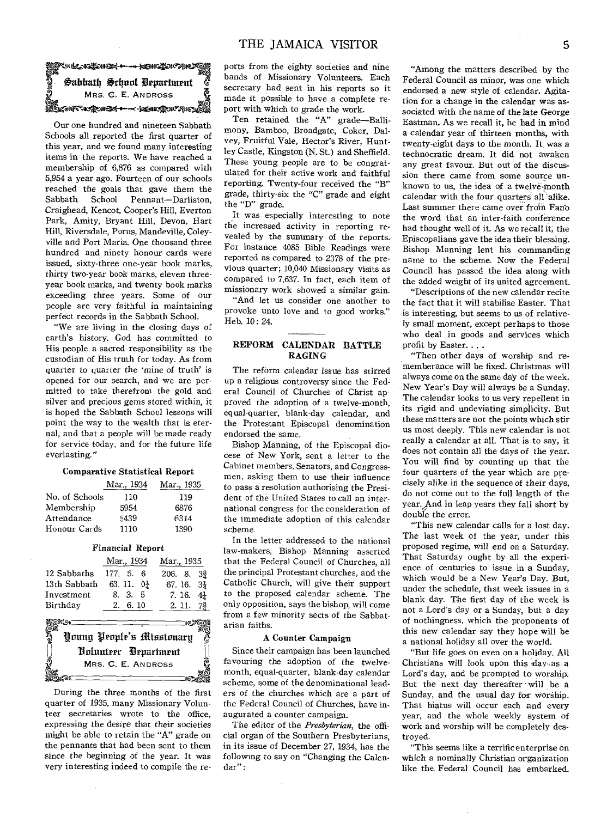

Our one hundred and nineteen Sabbath Schools all reported the first quarter of this year, and we found many interesting items in the reports. We have reached a membership of 6,876 as compared with 5,954 a year ago. Fourteen of our schools reached the goals that gave them the Sabbath School Pennant-Darliston. Craighead, Kencot, Cooper's Hill, Everton Park, Amity, Bryant Hill, Devon, Hart Hill, Riversdale, Porus, Mandeville, Coleyville and Port Maria. One thousand three hundred and ninety honour cards were issued, sixty-three one-year book marks, thirty two-year book marks, eleven threeyear book marks, and twenty book marks exceeding three years. Some of our people are very faithful in maintaining perfect records in the Sabbath School.

"We are living in the closing days of earth's history. God has committed to His people a sacred responsibility as the custodian of His truth for today. As from quarter to quarter the 'mine of truth' is opened for our search, and we are permitted to take therefrom the gold and silver and precious gems stored within, it is hoped the Sabbath School lessons will point the way to the wealth that is eternal, and that a people will be made ready for service today, and for the future life everlasting."

## **Comparative Statistical Report**

|                | Mar., 1934 | Mar., 1935 |
|----------------|------------|------------|
| No. of Schools | 110        | 119        |
| Membership     | 5954       | 6876       |
| Attendance     | 5439       | 6314       |
| Honour Cards   | 1110       | 1390       |

## **Financial Report**

|              | Mar., 1934             | Mar., 1935           |
|--------------|------------------------|----------------------|
| 12 Sabbaths  | 177. 5. 6              | $206.8.3\frac{3}{7}$ |
| 13th Sabbath | 63. 11. $0\frac{1}{6}$ | $67.16.3\frac{1}{2}$ |
| Investment   | 8. 3. 5                | 7.16. $4\frac{1}{4}$ |
| Birthday     | 2.6.10                 | $2.11.7\frac{3}{4}$  |



During the three months of the first quarter of 1935, many Missionary Volunteer secretaries wrote to the office. expressing the desire that their societies might be able to retain the "A" grade on the pennants that had been sent to them since the beginning of the year. It was very interesting indeed to compile the reports from the eighty societies and nine bands of Missionary Volunteers. Each secretary had sent in his reports so it made it possible to have a complete report with which to grade the work.

Ten retained the "A" grade-Ballimony, Bamboo, Broadgate, Coker, Dalvey, Fruitful Vale, Hector's River, Huntley Castle, Kingston (N. St.) and Sheffield. These young people are to be congratulated for their active work and faithful reporting. Twenty-four received the "B" grade, thirty-six the "C" grade and eight the "D" grade.

It was especially interesting to note the increased activity in reporting revealed by the summary of the reports. For instance 4085 Bible Readings were reported as compared to 2378 of the previous quarter; 10,040 Missionary visits as compared to 7,637. In fact, each item of missionary work showed a similar gain.

"And let us consider one another to provoke unto love and to good works." Heb. 10: 24.

## REFORM CALENDAR BATTLE **RAGING**

The reform calendar issue has stirred up a religious controversy since the Federal Council of Churches of Christ approved the adoption of a twelve-month, equal-quarter, blank-day calendar, and the Protestant Episcopal denomination endorsed the same.

Bishop Manning, of the Episcopal diocese of New York, sent a letter to the Cabinet members, Senators, and Congressmen, asking them to use their influence to pass a resolution authorising the President of the United States to call an international congress for the consideration of the immediate adoption of this calendar scheme.

In the letter addressed to the national law-makers, Bishop Manning asserted that the Federal Council of Churches, all the principal Protestant churches, and the Catholic Church, will give their support to the proposed calendar scheme. The only opposition, says the bishop, will come from a few minority sects of the Sabbatarian faiths.

## A Counter Campaign

Since their campaign has been launched favouring the adoption of the twelvemonth, equal-quarter, blank-day calendar scheme, some of the denominational leaders of the churches which are a part of the Federal Council of Churches, have inaugurated a counter campaign.

The editor of the Presbyterian, the official organ of the Southern Presbyterians. in its issue of December 27, 1934, has the following to say on "Changing the Calendar":

"Among the matters described by the Federal Council as minor, was one which endorsed a new style of calendar. Agitation for a change in the calendar was associated with the name of the late George Eastman. As we recall it, he had in mind a calendar year of thirteen months, with twenty-eight days to the month. It was a technocratic dream. It did not awaken anv great favour. But out of the discussion there came from some source unknown to us, the idea of a twelve-month calendar with the four quarters all alike. Last summer there came over from Fano the word that an inter-faith conference had thought well of it. As we recall it, the Episcopalians gave the idea their blessing. Bishop Manning lent his commanding name to the scheme. Now the Federal Council has passed the idea along with the added weight of its united agreement.

"Descriptions of the new calendar recite the fact that it will stabilise Easter. That is interesting, but seems to us of relatively small moment, except perhaps to those who deal in goods and services which profit by Easter. . . .

"Then other days of worship and rememberance will be fixed. Christmas will always come on the same day of the week. New Year's Day will always be a Sunday. The calendar looks to us very repellent in its rigid and undeviating simplicity. But these matters are not the points which stir us most deeply. This new calendar is not really a calendar at all. That is to say, it does not contain all the days of the year. You will find by counting up that the four quarters of the year which are precisely alike in the sequence of their days. do not come out to the full length of the year. And in leap years they fall short by double the error.

"This new calendar calls for a lost day. The last week of the year, under this proposed regime, will end on a Saturday. That Saturday ought by all the experience of centuries to issue in a Sunday, which would be a New Year's Day. But. under the schedule, that week issues in a blank day. The first day of the week is not a Lord's day or a Sunday, but a day of nothingness, which the proponents of this new calendar say they hope will be a national holiday all over the world.

"But life goes on even on a holiday. All Christians will look upon this day as a Lord's day, and be prompted to worship. But the next day thereafter will be a Sunday, and the usual day for worship. That hiatus will occur each and every year, and the whole weekly system of work and worship will be completely destroved.

"This seems like a terrific enterprise on which a nominally Christian organization like the Federal Council has embarked.